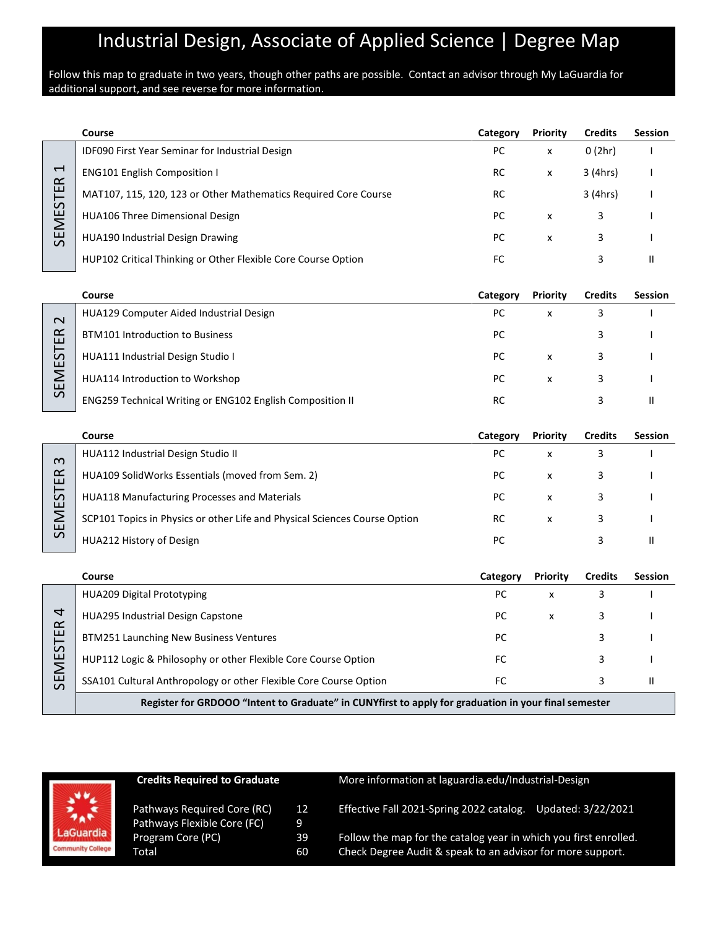# Industrial Design, Associate of Applied Science | Degree Map

#### Follow this map to graduate in two years, though other paths are possible. Contact an advisor through My LaGuardia for additional support, and see reverse for more information.

|              | Course                                                          | Category | <b>Priority</b> | <b>Credits</b> | <b>Session</b> |
|--------------|-----------------------------------------------------------------|----------|-----------------|----------------|----------------|
|              | <b>IDF090 First Year Seminar for Industrial Design</b>          | PC       | x               | 0(2hr)         |                |
| 4<br>R       | <b>ENG101 English Composition I</b>                             | RC       | X               | 3 (4hrs)       |                |
| ш            | MAT107, 115, 120, 123 or Other Mathematics Required Core Course | RC       |                 | 3 (4hrs)       |                |
| ین<br>—<br>∑ | <b>HUA106 Three Dimensional Design</b>                          | PC       | X               | 3              |                |
| 59           | <b>HUA190 Industrial Design Drawing</b>                         | PC.      | x               | 3              |                |
|              | HUP102 Critical Thinking or Other Flexible Core Course Option   | FC       |                 | 3              |                |

|               | Course                                                    | Category  | Priority | <b>Credits</b> | <b>Session</b> |
|---------------|-----------------------------------------------------------|-----------|----------|----------------|----------------|
| $\sim$        | <b>HUA129 Computer Aided Industrial Design</b>            | PC        | x        |                |                |
| ≃<br>ш        | <b>BTM101 Introduction to Business</b>                    | PC        |          |                |                |
| ⊢<br>نہ<br>ш  | HUA111 Industrial Design Studio I                         | PC        | x        |                |                |
| Σ<br>ш        | HUA114 Introduction to Workshop                           | PC        | x        |                |                |
| $\mathcal{L}$ | ENG259 Technical Writing or ENG102 English Composition II | <b>RC</b> |          |                |                |

|                | Course                                                                     | Category  | <b>Priority</b> | <b>Credits</b> | <b>Session</b> |
|----------------|----------------------------------------------------------------------------|-----------|-----------------|----------------|----------------|
| $\infty$       | HUA112 Industrial Design Studio II                                         | РC        | х               |                |                |
| $\propto$<br>ш | HUA109 SolidWorks Essentials (moved from Sem. 2)                           | РC        | x               |                |                |
| 57<br>ய        | HUA118 Manufacturing Processes and Materials                               | РC        | x               |                |                |
| Σ              | SCP101 Topics in Physics or other Life and Physical Sciences Course Option | <b>RC</b> | x               |                |                |
| 55             | HUA212 History of Design                                                   | РC        |                 |                |                |

|                            | Course                                                                                               | Category | <b>Priority</b> | <b>Credits</b> | <b>Session</b> |
|----------------------------|------------------------------------------------------------------------------------------------------|----------|-----------------|----------------|----------------|
|                            | HUA209 Digital Prototyping                                                                           | РC       | x               |                |                |
| $\overline{a}$<br>$\alpha$ | HUA295 Industrial Design Capstone                                                                    | РC       | x               |                |                |
| ш                          | BTM251 Launching New Business Ventures                                                               | РC       |                 |                |                |
| $\mathcal{L}$<br>ш<br>Σ    | HUP112 Logic & Philosophy or other Flexible Core Course Option                                       | FC       |                 |                |                |
| ш<br>$\Omega$              | SSA101 Cultural Anthropology or other Flexible Core Course Option                                    | FC       |                 |                |                |
|                            | Register for GRDOOO "Intent to Graduate" in CUNYfirst to apply for graduation in your final semester |          |                 |                |                |



|        | <b>Credits Required to Graduate</b>              |         | More information at laguardia.edu/Industrial-Design              |  |  |
|--------|--------------------------------------------------|---------|------------------------------------------------------------------|--|--|
|        | Pathways Required Core (RC)                      | 12      | Effective Fall 2021-Spring 2022 catalog. Updated: 3/22/2021      |  |  |
| dia    | Pathways Flexible Core (FC)<br>Program Core (PC) | 9<br>39 | Follow the map for the catalog year in which you first enrolled. |  |  |
| ollege | Total                                            | 60      | Check Degree Audit & speak to an advisor for more support.       |  |  |